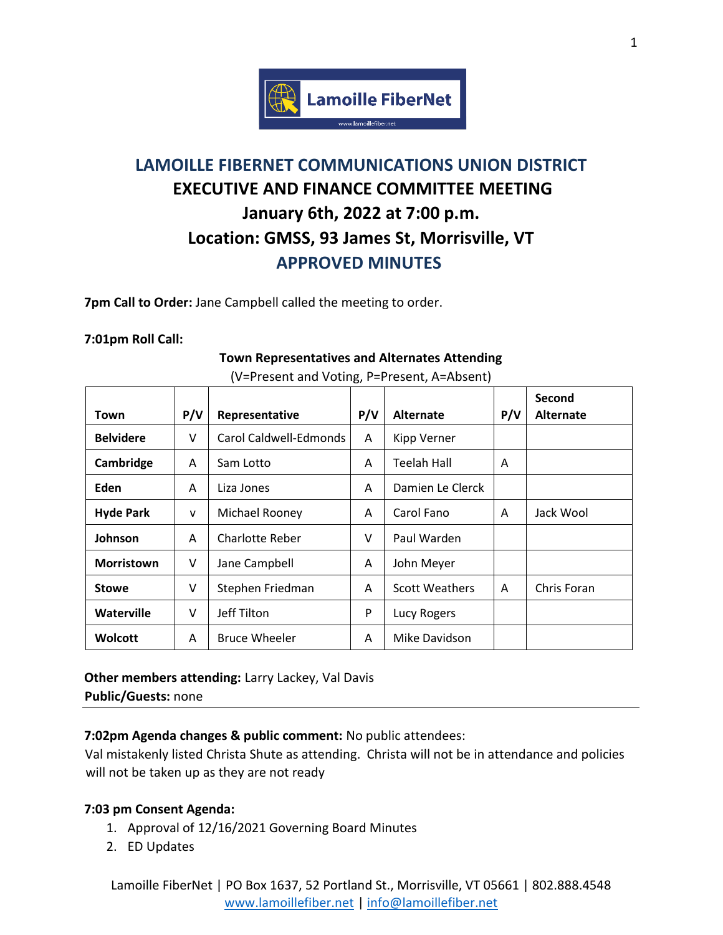

# **LAMOILLE FIBERNET COMMUNICATIONS UNION DISTRICT EXECUTIVE AND FINANCE COMMITTEE MEETING January 6th, 2022 at 7:00 p.m. Location: GMSS, 93 James St, Morrisville, VT APPROVED MINUTES**

**7pm Call to Order:** Jane Campbell called the meeting to order.

#### **7:01pm Roll Call:**

|                   |     |                        |     |                       |     | Second           |
|-------------------|-----|------------------------|-----|-----------------------|-----|------------------|
| Town              | P/V | Representative         | P/V | <b>Alternate</b>      | P/V | <b>Alternate</b> |
| <b>Belvidere</b>  | V   | Carol Caldwell-Edmonds | A   | <b>Kipp Verner</b>    |     |                  |
| Cambridge         | A   | Sam Lotto              | A   | <b>Teelah Hall</b>    | A   |                  |
| Eden              | A   | Liza Jones             | A   | Damien Le Clerck      |     |                  |
| <b>Hyde Park</b>  | V   | Michael Rooney         | A   | Carol Fano            | A   | Jack Wool        |
| Johnson           | A   | <b>Charlotte Reber</b> | V   | Paul Warden           |     |                  |
| <b>Morristown</b> | V   | Jane Campbell          | A   | John Meyer            |     |                  |
| <b>Stowe</b>      | V   | Stephen Friedman       | A   | <b>Scott Weathers</b> | A   | Chris Foran      |
| <b>Waterville</b> | V   | Jeff Tilton            | P   | Lucy Rogers           |     |                  |
| <b>Wolcott</b>    | A   | <b>Bruce Wheeler</b>   | A   | Mike Davidson         |     |                  |

**Town Representatives and Alternates Attending** (V=Present and Voting, P=Present, A=Absent)

**Other members attending:** Larry Lackey, Val Davis **Public/Guests:** none

**7:02pm Agenda changes & public comment:** No public attendees:

Val mistakenly listed Christa Shute as attending. Christa will not be in attendance and policies will not be taken up as they are not ready

## **7:03 pm Consent Agenda:**

- 1. Approval of 12/16/2021 Governing Board Minutes
- 2. ED Updates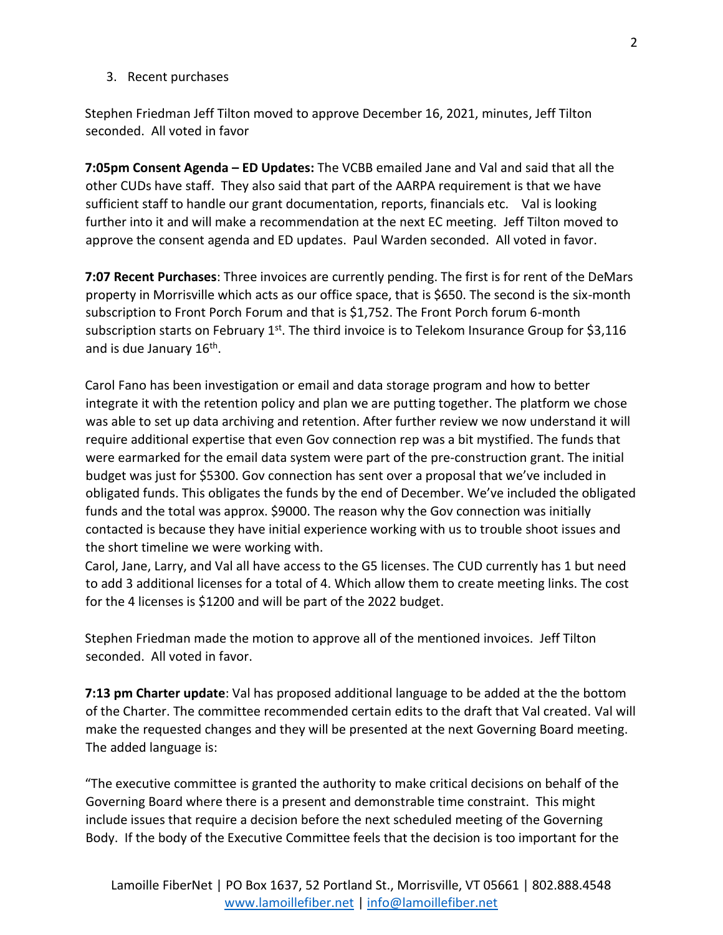#### 3. Recent purchases

Stephen Friedman Jeff Tilton moved to approve December 16, 2021, minutes, Jeff Tilton seconded. All voted in favor

**7:05pm Consent Agenda – ED Updates:** The VCBB emailed Jane and Val and said that all the other CUDs have staff. They also said that part of the AARPA requirement is that we have sufficient staff to handle our grant documentation, reports, financials etc. Val is looking further into it and will make a recommendation at the next EC meeting. Jeff Tilton moved to approve the consent agenda and ED updates. Paul Warden seconded. All voted in favor.

**7:07 Recent Purchases**: Three invoices are currently pending. The first is for rent of the DeMars property in Morrisville which acts as our office space, that is \$650. The second is the six-month subscription to Front Porch Forum and that is \$1,752. The Front Porch forum 6-month subscription starts on February  $1^{st}$ . The third invoice is to Telekom Insurance Group for \$3,116 and is due January 16<sup>th</sup>.

Carol Fano has been investigation or email and data storage program and how to better integrate it with the retention policy and plan we are putting together. The platform we chose was able to set up data archiving and retention. After further review we now understand it will require additional expertise that even Gov connection rep was a bit mystified. The funds that were earmarked for the email data system were part of the pre-construction grant. The initial budget was just for \$5300. Gov connection has sent over a proposal that we've included in obligated funds. This obligates the funds by the end of December. We've included the obligated funds and the total was approx. \$9000. The reason why the Gov connection was initially contacted is because they have initial experience working with us to trouble shoot issues and the short timeline we were working with.

Carol, Jane, Larry, and Val all have access to the G5 licenses. The CUD currently has 1 but need to add 3 additional licenses for a total of 4. Which allow them to create meeting links. The cost for the 4 licenses is \$1200 and will be part of the 2022 budget.

Stephen Friedman made the motion to approve all of the mentioned invoices. Jeff Tilton seconded. All voted in favor.

**7:13 pm Charter update**: Val has proposed additional language to be added at the the bottom of the Charter. The committee recommended certain edits to the draft that Val created. Val will make the requested changes and they will be presented at the next Governing Board meeting. The added language is:

"The executive committee is granted the authority to make critical decisions on behalf of the Governing Board where there is a present and demonstrable time constraint. This might include issues that require a decision before the next scheduled meeting of the Governing Body. If the body of the Executive Committee feels that the decision is too important for the

2